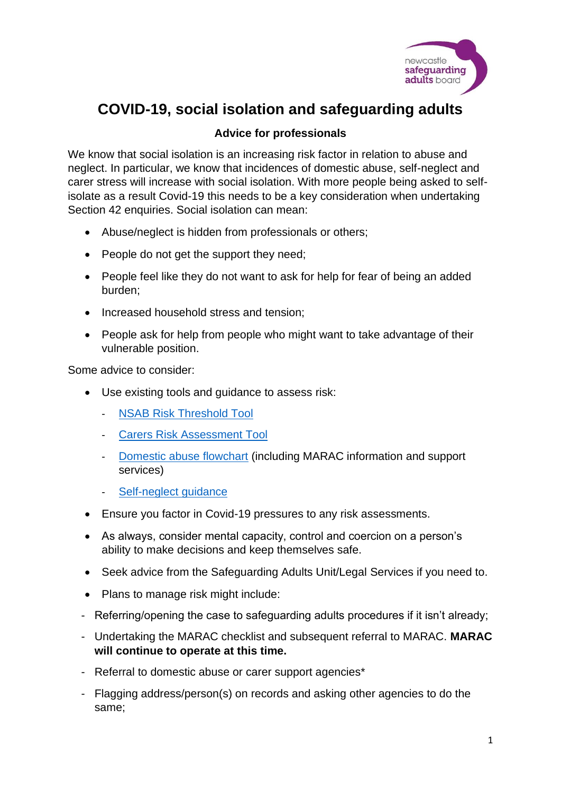

## **COVID-19, social isolation and safeguarding adults**

## **Advice for professionals**

We know that social isolation is an increasing risk factor in relation to abuse and neglect. In particular, we know that incidences of domestic abuse, self-neglect and carer stress will increase with social isolation. With more people being asked to selfisolate as a result Covid-19 this needs to be a key consideration when undertaking Section 42 enquiries. Social isolation can mean:

- Abuse/neglect is hidden from professionals or others;
- People do not get the support they need;
- People feel like they do not want to ask for help for fear of being an added burden;
- Increased household stress and tension;
- People ask for help from people who might want to take advantage of their vulnerable position.

Some advice to consider:

- Use existing tools and guidance to assess risk:
	- [NSAB Risk Threshold Tool](https://www.newcastle.gov.uk/sites/default/files/T1%20nsab_safeguarding_adults_risk_threshold_tool_0%20(1)_0.docx)
	- **[Carers Risk Assessment Tool](https://www.newcastle.gov.uk/sites/default/files/Carers%20Risk%20Assessment%20Tool%20(Final).pdf)**
	- [Domestic abuse flowchart](https://www.newcastle.gov.uk/sites/default/files/Newcastle%20Multi-Agency%20Domestic%20Violence%20and%20Abuse%20Procedural%20Flow%20Chart%20-%20Adults.pdf) (including MARAC information and support services)
	- [Self-neglect guidance](https://www.newcastle.gov.uk/sites/default/files/Self-Neglect%20Guidance%20Newcastle%20FINAL.pdf)
- Ensure you factor in Covid-19 pressures to any risk assessments.
- As always, consider mental capacity, control and coercion on a person's ability to make decisions and keep themselves safe.
- Seek advice from the Safeguarding Adults Unit/Legal Services if you need to.
- Plans to manage risk might include:
- Referring/opening the case to safeguarding adults procedures if it isn't already;
- Undertaking the MARAC checklist and subsequent referral to MARAC. **MARAC will continue to operate at this time.**
- Referral to domestic abuse or carer support agencies\*
- Flagging address/person(s) on records and asking other agencies to do the same;